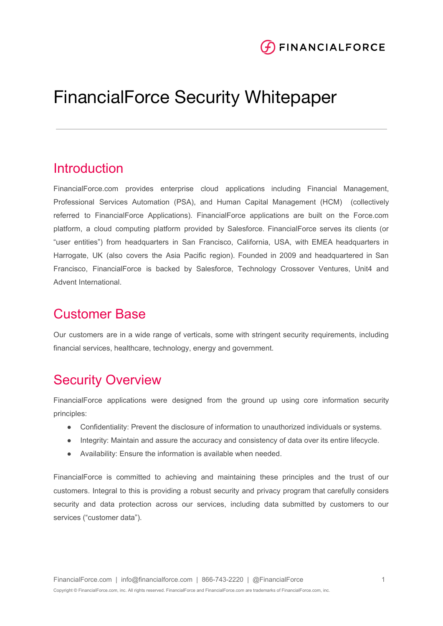

# FinancialForce Security Whitepaper

## **Introduction**

FinancialForce.com provides enterprise cloud applications including Financial Management, Professional Services Automation (PSA), and Human Capital Management (HCM) (collectively referred to FinancialForce Applications). FinancialForce applications are built on the Force.com platform, a cloud computing platform provided by Salesforce. FinancialForce serves its clients (or "user entities") from headquarters in San Francisco, California, USA, with EMEA headquarters in Harrogate, UK (also covers the Asia Pacific region). Founded in 2009 and headquartered in San Francisco, FinancialForce is backed by Salesforce, Technology Crossover Ventures, Unit4 and Advent International.

## Customer Base

Our customers are in a wide range of verticals, some with stringent security requirements, including financial services, healthcare, technology, energy and government.

## Security Overview

FinancialForce applications were designed from the ground up using core information security principles:

- Confidentiality: Prevent the disclosure of information to unauthorized individuals or systems.
- Integrity: Maintain and assure the accuracy and consistency of data over its entire lifecycle.
- Availability: Ensure the information is available when needed.

FinancialForce is committed to achieving and maintaining these principles and the trust of our customers. Integral to this is providing a robust security and privacy program that carefully considers security and data protection across our services, including data submitted by customers to our services ("customer data").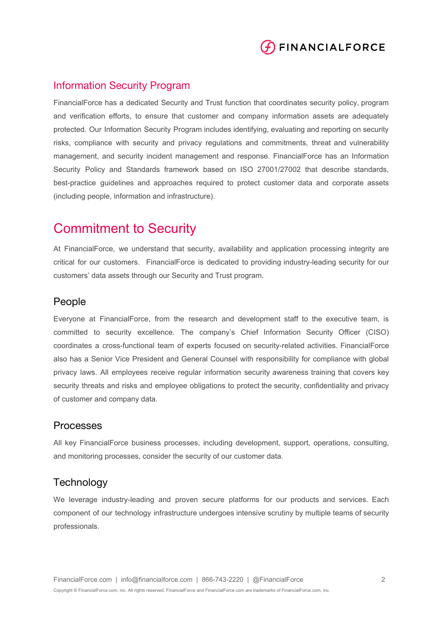

### Information Security Program

FinancialForce has a dedicated Security and Trust function that coordinates security policy, program and verification efforts, to ensure that customer and company information assets are adequately protected. Our Information Security Program includes identifying, evaluating and reporting on security risks, compliance with security and privacy regulations and commitments, threat and vulnerability management, and security incident management and response. FinancialForce has an Information Security Policy and Standards framework based on ISO 27001/27002 that describe standards, best-practice guidelines and approaches required to protect customer data and corporate assets (including people, information and infrastructure).

## Commitment to Security

At FinancialForce, we understand that security, availability and application processing integrity are critical for our customers. FinancialForce is dedicated to providing industry-leading security for our customers' data assets through our Security and Trust program.

### People

Everyone at FinancialForce, from the research and development staff to the executive team, is committed to security excellence. The company's Chief Information Security Officer (CISO) coordinates a cross-functional team of experts focused on security-related activities. FinancialForce also has a Senior Vice President and General Counsel with responsibility for compliance with global privacy laws. All employees receive regular information security awareness training that covers key security threats and risks and employee obligations to protect the security, confidentiality and privacy of customer and company data.

#### Processes

All key FinancialForce business processes, including development, support, operations, consulting, and monitoring processes, consider the security of our customer data.

### **Technology**

We leverage industry-leading and proven secure platforms for our products and services. Each component of our technology infrastructure undergoes intensive scrutiny by multiple teams of security professionals.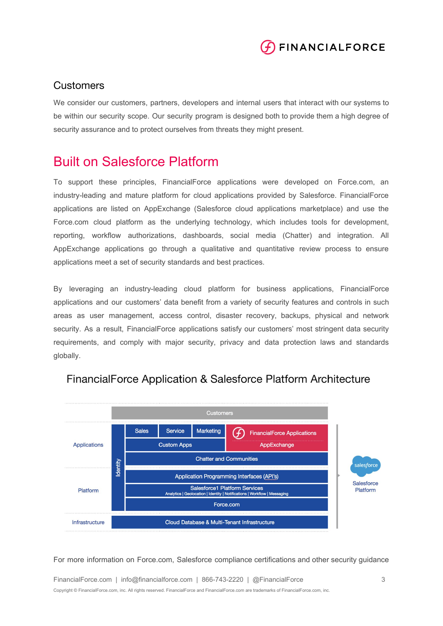

### **Customers**

We consider our customers, partners, developers and internal users that interact with our systems to be within our security scope. Our security program is designed both to provide them a high degree of security assurance and to protect ourselves from threats they might present.

## Built on Salesforce Platform

To support these principles, FinancialForce applications were developed on Force.com, an industry-leading and mature platform for cloud applications provided by Salesforce. FinancialForce applications are listed on AppExchange (Salesforce cloud applications marketplace) and use the Force.com cloud platform as the underlying technology, which includes tools for development, reporting, workflow authorizations, dashboards, social media (Chatter) and integration. All AppExchange applications go through a qualitative and quantitative review process to ensure applications meet a set of security standards and best practices.

By leveraging an industry-leading cloud platform for business applications, FinancialForce applications and our customers' data benefit from a variety of security features and controls in such areas as user management, access control, disaster recovery, backups, physical and network security. As a result, FinancialForce applications satisfy our customers' most stringent data security requirements, and comply with major security, privacy and data protection laws and standards globally.



## FinancialForce Application & Salesforce Platform Architecture

For more information on Force.com, Salesforce compliance certifications and other security guidance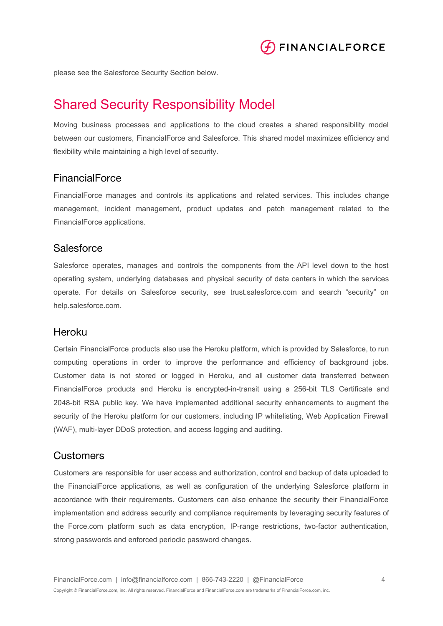

please see the Salesforce Security Section below.

## Shared Security Responsibility Model

Moving business processes and applications to the cloud creates a shared responsibility model between our customers, FinancialForce and Salesforce. This shared model maximizes efficiency and flexibility while maintaining a high level of security.

### FinancialForce

FinancialForce manages and controls its applications and related services. This includes change management, incident management, product updates and patch management related to the FinancialForce applications.

### **Salesforce**

Salesforce operates, manages and controls the components from the API level down to the host operating system, underlying databases and physical security of data centers in which the services operate. For details on Salesforce security, see trust.salesforce.com and search "security" on help.salesforce.com.

#### Heroku

Certain FinancialForce products also use the Heroku platform, which is provided by Salesforce, to run computing operations in order to improve the performance and efficiency of background jobs. Customer data is not stored or logged in Heroku, and all customer data transferred between FinancialForce products and Heroku is encrypted-in-transit using a 256-bit TLS Certificate and 2048-bit RSA public key. We have implemented additional security enhancements to augment the security of the Heroku platform for our customers, including IP whitelisting, Web Application Firewall (WAF), multi-layer DDoS protection, and access logging and auditing.

### **Customers**

Customers are responsible for user access and authorization, control and backup of data uploaded to the FinancialForce applications, as well as configuration of the underlying Salesforce platform in accordance with their requirements. Customers can also enhance the security their FinancialForce implementation and address security and compliance requirements by leveraging security features of the Force.com platform such as data encryption, IP-range restrictions, two-factor authentication, strong passwords and enforced periodic password changes.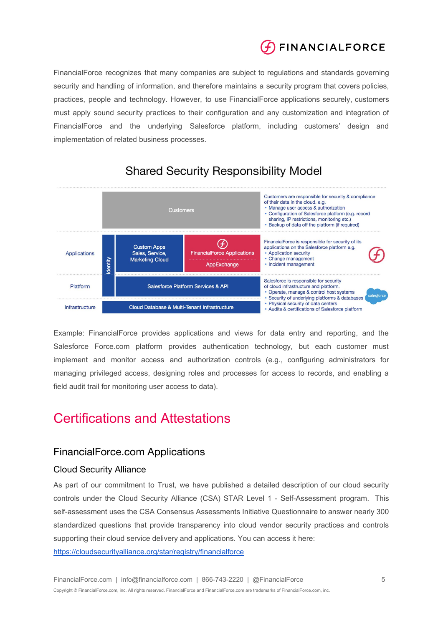

FinancialForce recognizes that many companies are subject to regulations and standards governing security and handling of information, and therefore maintains a security program that covers policies, practices, people and technology. However, to use FinancialForce applications securely, customers must apply sound security practices to their configuration and any customization and integration of FinancialForce and the underlying Salesforce platform, including customers' design and implementation of related business processes.



## **Shared Security Responsibility Model**

Example: FinancialForce provides applications and views for data entry and reporting, and the Salesforce Force.com platform provides authentication technology, but each customer must implement and monitor access and authorization controls (e.g., configuring administrators for managing privileged access, designing roles and processes for access to records, and enabling a field audit trail for monitoring user access to data).

## Certifications and Attestations

### FinancialForce.com Applications

### Cloud Security Alliance

As part of our commitment to Trust, we have published a detailed description of our cloud security controls under the Cloud Security Alliance (CSA) STAR Level 1 - Self-Assessment program. This self-assessment uses the CSA Consensus Assessments Initiative Questionnaire to answer nearly 300 standardized questions that provide transparency into cloud vendor security practices and controls supporting their cloud service delivery and applications. You can access it here: <https://cloudsecurityalliance.org/star/registry/financialforce>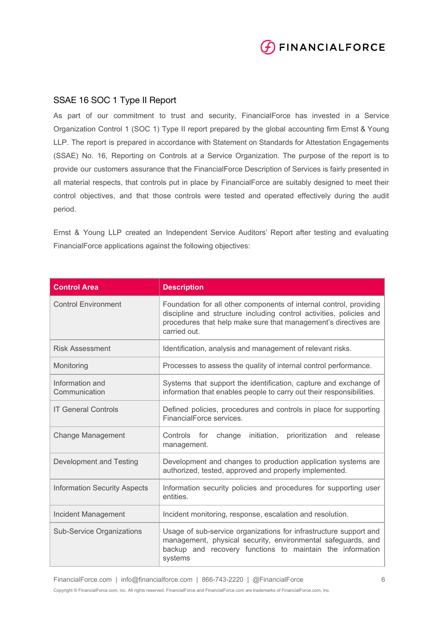

### SSAE 16 SOC 1 Type II Report

As part of our commitment to trust and security, FinancialForce has invested in a Service Organization Control 1 (SOC 1) Type II report prepared by the global accounting firm Ernst & Young LLP. The report is prepared in accordance with Statement on Standards for Attestation Engagements (SSAE) No. 16, Reporting on Controls at a Service Organization. The purpose of the report is to provide our customers assurance that the FinancialForce Description of Services is fairly presented in all material respects, that controls put in place by FinancialForce are suitably designed to meet their control objectives, and that those controls were tested and operated effectively during the audit period.

Ernst & Young LLP created an Independent Service Auditors' Report after testing and evaluating FinancialForce applications against the following objectives:

| <b>Control Area</b>                 | <b>Description</b>                                                                                                                                                                                                           |
|-------------------------------------|------------------------------------------------------------------------------------------------------------------------------------------------------------------------------------------------------------------------------|
| <b>Control Environment</b>          | Foundation for all other components of internal control, providing<br>discipline and structure including control activities, policies and<br>procedures that help make sure that management's directives are<br>carried out. |
| <b>Risk Assessment</b>              | Identification, analysis and management of relevant risks.                                                                                                                                                                   |
| Monitoring                          | Processes to assess the quality of internal control performance.                                                                                                                                                             |
| Information and<br>Communication    | Systems that support the identification, capture and exchange of<br>information that enables people to carry out their responsibilities.                                                                                     |
| <b>IT General Controls</b>          | Defined policies, procedures and controls in place for supporting<br>FinancialForce services.                                                                                                                                |
| <b>Change Management</b>            | Controls for<br>change<br>initiation,<br>prioritization<br>and<br>release<br>management.                                                                                                                                     |
| Development and Testing             | Development and changes to production application systems are<br>authorized, tested, approved and properly implemented.                                                                                                      |
| <b>Information Security Aspects</b> | Information security policies and procedures for supporting user<br>entities.                                                                                                                                                |
| Incident Management                 | Incident monitoring, response, escalation and resolution.                                                                                                                                                                    |
| <b>Sub-Service Organizations</b>    | Usage of sub-service organizations for infrastructure support and<br>management, physical security, environmental safeguards, and<br>backup and recovery functions to maintain the information<br>systems                    |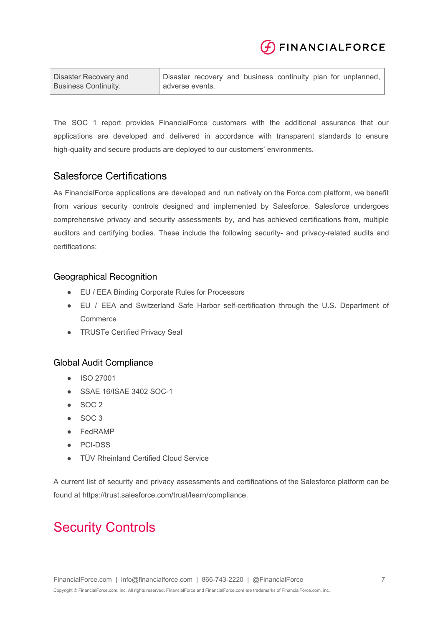

| Disaster Recovery and       | Disaster recovery and business continuity plan for unplanned, |
|-----------------------------|---------------------------------------------------------------|
| <b>Business Continuity.</b> | adverse events.                                               |

The SOC 1 report provides FinancialForce customers with the additional assurance that our applications are developed and delivered in accordance with transparent standards to ensure high-quality and secure products are deployed to our customers' environments.

## Salesforce Certifications

As FinancialForce applications are developed and run natively on the Force.com platform, we benefit from various security controls designed and implemented by Salesforce. Salesforce undergoes comprehensive privacy and security assessments by, and has achieved certifications from, multiple auditors and certifying bodies. These include the following security- and privacy-related audits and certifications:

### Geographical Recognition

- EU / EEA Binding Corporate Rules for Processors
- EU / EEA and Switzerland Safe Harbor self-certification through the U.S. Department of **Commerce**
- **•** TRUSTe Certified Privacy Seal

#### Global Audit Compliance

- ISO 27001
- SSAE 16/ISAE 3402 SOC-1
- SOC 2
- SOC 3
- FedRAMP
- PCI-DSS
- TÜV Rheinland Certified Cloud Service

A current list of security and privacy assessments and certifications of the Salesforce platform can be found at https://trust.salesforce.com/trust/learn/compliance.

## Security Controls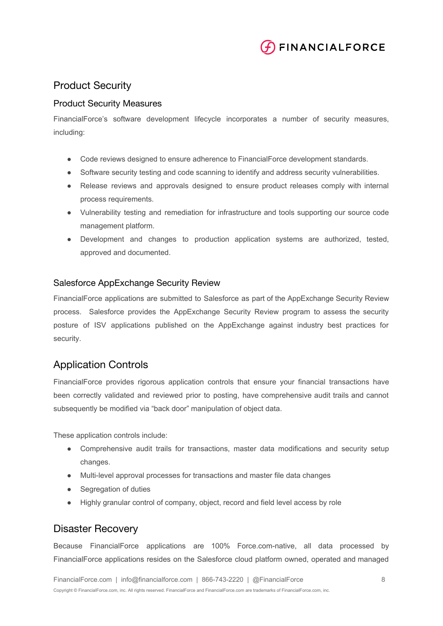

## Product Security

#### Product Security Measures

FinancialForce's software development lifecycle incorporates a number of security measures, including:

- Code reviews designed to ensure adherence to FinancialForce development standards.
- Software security testing and code scanning to identify and address security vulnerabilities.
- Release reviews and approvals designed to ensure product releases comply with internal process requirements.
- Vulnerability testing and remediation for infrastructure and tools supporting our source code management platform.
- Development and changes to production application systems are authorized, tested, approved and documented.

#### Salesforce AppExchange Security Review

FinancialForce applications are submitted to Salesforce as part of the AppExchange Security Review process. Salesforce provides the AppExchange Security Review program to assess the security posture of ISV applications published on the AppExchange against industry best practices for security.

### Application Controls

FinancialForce provides rigorous application controls that ensure your financial transactions have been correctly validated and reviewed prior to posting, have comprehensive audit trails and cannot subsequently be modified via "back door" manipulation of object data.

These application controls include:

- Comprehensive audit trails for transactions, master data modifications and security setup changes.
- Multi-level approval processes for transactions and master file data changes
- Segregation of duties
- Highly granular control of company, object, record and field level access by role

### Disaster Recovery

Because FinancialForce applications are 100% Force.com-native, all data processed by FinancialForce applications resides on the Salesforce cloud platform owned, operated and managed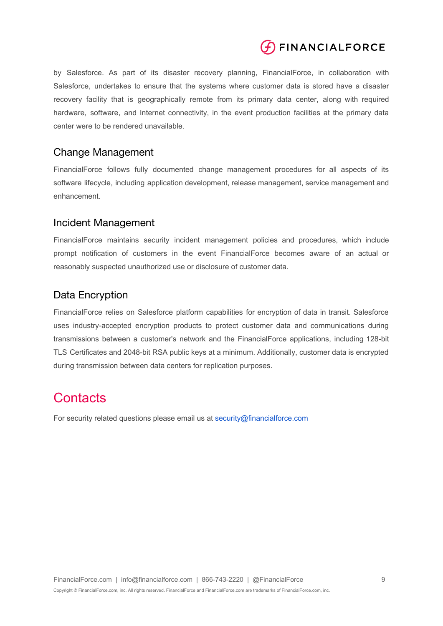

by Salesforce. As part of its disaster recovery planning, FinancialForce, in collaboration with Salesforce, undertakes to ensure that the systems where customer data is stored have a disaster recovery facility that is geographically remote from its primary data center, along with required hardware, software, and Internet connectivity, in the event production facilities at the primary data center were to be rendered unavailable.

### Change Management

FinancialForce follows fully documented change management procedures for all aspects of its software lifecycle, including application development, release management, service management and enhancement.

### Incident Management

FinancialForce maintains security incident management policies and procedures, which include prompt notification of customers in the event FinancialForce becomes aware of an actual or reasonably suspected unauthorized use or disclosure of customer data.

## Data Encryption

FinancialForce relies on Salesforce platform capabilities for encryption of data in transit. Salesforce uses industry-accepted encryption products to protect customer data and communications during transmissions between a customer's network and the FinancialForce applications, including 128-bit TLS Certificates and 2048-bit RSA public keys at a minimum. Additionally, customer data is encrypted during transmission between data centers for replication purposes.

## **Contacts**

For security related questions please email us at [security@financialforce.com](mailto:security@financialforce.com)